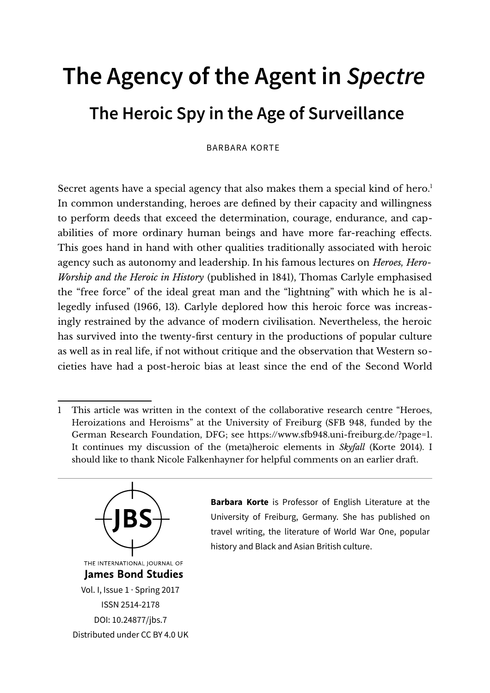## **The Agency of the Agent in Spectre The Heroic Spy in the Age of Surveillance**

BARBARA KORTE

Secret agents have a special agency that also makes them a special kind of hero.<sup>[1](#page-0-0)</sup> In common understanding, heroes are defined by their capacity and willingness to perform deeds that exceed the determination, courage, endurance, and capabilities of more ordinary human beings and have more far-reaching effects. This goes hand in hand with other qualities traditionally associated with heroic agency such as autonomy and leadership. In his famous lectures on *Heroes, Hero-Worship and the Heroic in History* (published in 1841), Thomas Carlyle emphasised the "free force" of the ideal great man and the "lightning" with which he is allegedly infused (1966, 13). Carlyle deplored how this heroic force was increasingly restrained by the advance of modern civilisation. Nevertheless, the heroic has survived into the twenty-first century in the productions of popular culture as well as in real life, if not without critique and the observation that Western societies have had a post-heroic bias at least since the end of the Second World

<span id="page-0-0"></span><sup>1</sup> This article was written in the context of the collaborative research centre "Heroes, Heroizations and Heroisms" at the University of Freiburg (SFB 948, funded by the German Research Foundation, DFG; see [https://www.sfb948.uni-freiburg.de/?page=1.](https://www.sfb948.uni-freiburg.de/?page=1) It continues my discussion of the (meta)heroic elements in *Skyfall* (Korte 2014). I should like to thank Nicole Falkenhayner for helpful comments on an earlier draft.



**Barbara Korte** is Professor of English Literature at the University of Freiburg, Germany. She has published on travel writing, the literature of World War One, popular history and Black and Asian British culture.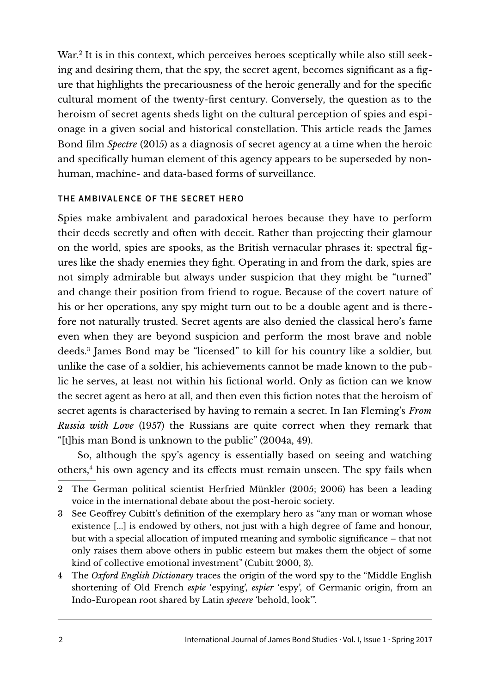War.<sup>[2](#page-1-0)</sup> It is in this context, which perceives heroes sceptically while also still seeking and desiring them, that the spy, the secret agent, becomes significant as a figure that highlights the precariousness of the heroic generally and for the specific cultural moment of the twenty-first century. Conversely, the question as to the heroism of secret agents sheds light on the cultural perception of spies and espionage in a given social and historical constellation. This article reads the James Bond film *Spectre* (2015) as a diagnosis of secret agency at a time when the heroic and specifically human element of this agency appears to be superseded by nonhuman, machine- and data-based forms of surveillance.

## **THE AMBIVALENCE OF THE SECRET HERO**

Spies make ambivalent and paradoxical heroes because they have to perform their deeds secretly and often with deceit. Rather than projecting their glamour on the world, spies are spooks, as the British vernacular phrases it: spectral figures like the shady enemies they fight. Operating in and from the dark, spies are not simply admirable but always under suspicion that they might be "turned" and change their position from friend to rogue. Because of the covert nature of his or her operations, any spy might turn out to be a double agent and is therefore not naturally trusted. Secret agents are also denied the classical hero's fame even when they are beyond suspicion and perform the most brave and noble deeds.[3](#page-1-1) James Bond may be "licensed" to kill for his country like a soldier, but unlike the case of a soldier, his achievements cannot be made known to the public he serves, at least not within his fictional world. Only as fiction can we know the secret agent as hero at all, and then even this fiction notes that the heroism of secret agents is characterised by having to remain a secret. In Ian Fleming's *From Russia with Love* (1957) the Russians are quite correct when they remark that "[t]his man Bond is unknown to the public" (2004a, 49).

So, although the spy's agency is essentially based on seeing and watching others,[4](#page-1-2) his own agency and its effects must remain unseen. The spy fails when

<span id="page-1-2"></span>4 The *Oxford English Dictionary* traces the origin of the word spy to the "Middle English shortening of Old French *espie* 'espying', *espier* 'espy', of Germanic origin, from an Indo-European root shared by Latin *specere* 'behold, look'".

<span id="page-1-0"></span><sup>2</sup> The German political scientist Herfried Münkler (2005; 2006) has been a leading voice in the international debate about the post-heroic society.

<span id="page-1-1"></span><sup>3</sup> See Geoffrey Cubitt's definition of the exemplary hero as "any man or woman whose existence [...] is endowed by others, not just with a high degree of fame and honour, but with a special allocation of imputed meaning and symbolic significance – that not only raises them above others in public esteem but makes them the object of some kind of collective emotional investment" (Cubitt 2000, 3).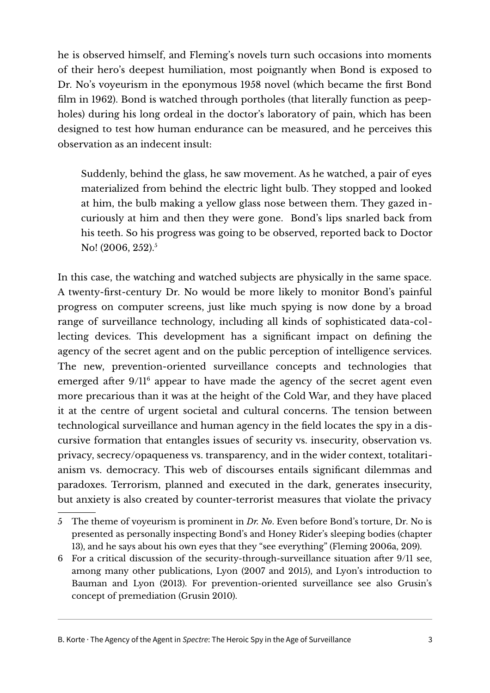he is observed himself, and Fleming's novels turn such occasions into moments of their hero's deepest humiliation, most poignantly when Bond is exposed to Dr. No's voyeurism in the eponymous 1958 novel (which became the first Bond film in 1962). Bond is watched through portholes (that literally function as peepholes) during his long ordeal in the doctor's laboratory of pain, which has been designed to test how human endurance can be measured, and he perceives this observation as an indecent insult:

Suddenly, behind the glass, he saw movement. As he watched, a pair of eyes materialized from behind the electric light bulb. They stopped and looked at him, the bulb making a yellow glass nose between them. They gazed incuriously at him and then they were gone. Bond's lips snarled back from his teeth. So his progress was going to be observed, reported back to Doctor No! (2006, 2[5](#page-2-0)2).<sup>5</sup>

In this case, the watching and watched subjects are physically in the same space. A twenty-first-century Dr. No would be more likely to monitor Bond's painful progress on computer screens, just like much spying is now done by a broad range of surveillance technology, including all kinds of sophisticated data-collecting devices. This development has a significant impact on defining the agency of the secret agent and on the public perception of intelligence services. The new, prevention-oriented surveillance concepts and technologies that emerged after 9/11<sup>[6](#page-2-1)</sup> appear to have made the agency of the secret agent even more precarious than it was at the height of the Cold War, and they have placed it at the centre of urgent societal and cultural concerns. The tension between technological surveillance and human agency in the field locates the spy in a discursive formation that entangles issues of security vs. insecurity, observation vs. privacy, secrecy/opaqueness vs. transparency, and in the wider context, totalitarianism vs. democracy. This web of discourses entails significant dilemmas and paradoxes. Terrorism, planned and executed in the dark, generates insecurity, but anxiety is also created by counter-terrorist measures that violate the privacy

B. Korte · The Agency of the Agent in Spectre: The Heroic Spy in the Age of Surveillance 3

<span id="page-2-0"></span><sup>5</sup> The theme of voyeurism is prominent in *Dr. No*. Even before Bond's torture, Dr. No is presented as personally inspecting Bond's and Honey Rider's sleeping bodies (chapter 13), and he says about his own eyes that they "see everything" (Fleming 2006a, 209).

<span id="page-2-1"></span><sup>6</sup> For a critical discussion of the security-through-surveillance situation after 9/11 see, among many other publications, Lyon (2007 and 2015), and Lyon's introduction to Bauman and Lyon (2013). For prevention-oriented surveillance see also Grusin's concept of premediation (Grusin 2010).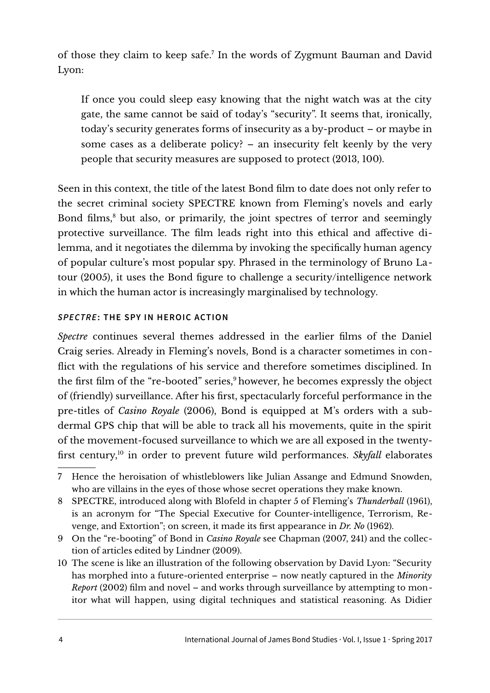of those they claim to keep safe.[7](#page-3-0) In the words of Zygmunt Bauman and David Lyon:

If once you could sleep easy knowing that the night watch was at the city gate, the same cannot be said of today's "security". It seems that, ironically, today's security generates forms of insecurity as a by-product – or maybe in some cases as a deliberate policy? – an insecurity felt keenly by the very people that security measures are supposed to protect (2013, 100).

Seen in this context, the title of the latest Bond film to date does not only refer to the secret criminal society SPECTRE known from Fleming's novels and early Bond films,<sup>[8](#page-3-1)</sup> but also, or primarily, the joint spectres of terror and seemingly protective surveillance. The film leads right into this ethical and affective dilemma, and it negotiates the dilemma by invoking the specifically human agency of popular culture's most popular spy. Phrased in the terminology of Bruno Latour (2005), it uses the Bond figure to challenge a security/intelligence network in which the human actor is increasingly marginalised by technology.

## **SPECTRE: THE SPY IN HEROIC ACTION**

*Spectre* continues several themes addressed in the earlier films of the Daniel Craig series. Already in Fleming's novels, Bond is a character sometimes in conflict with the regulations of his service and therefore sometimes disciplined. In the first film of the "re-booted" series,<sup>[9](#page-3-2)</sup> however, he becomes expressly the object of (friendly) surveillance. After his first, spectacularly forceful performance in the pre-titles of *Casino Royale* (2006), Bond is equipped at M's orders with a subdermal GPS chip that will be able to track all his movements, quite in the spirit of the movement-focused surveillance to which we are all exposed in the twentyfirst century,[10](#page-3-3) in order to prevent future wild performances. *Skyfall* elaborates

<span id="page-3-0"></span><sup>7</sup> Hence the heroisation of whistleblowers like Julian Assange and Edmund Snowden, who are villains in the eyes of those whose secret operations they make known.

<span id="page-3-1"></span><sup>8</sup> SPECTRE, introduced along with Blofeld in chapter 5 of Fleming's *Thunderball* (1961), is an acronym for "The Special Executive for Counter-intelligence, Terrorism, Revenge, and Extortion"; on screen, it made its first appearance in *Dr. No* (1962).

<span id="page-3-2"></span><sup>9</sup> On the "re-booting" of Bond in *Casino Royale* see Chapman (2007, 241) and the collection of articles edited by Lindner (2009).

<span id="page-3-3"></span><sup>10</sup> The scene is like an illustration of the following observation by David Lyon: "Security has morphed into a future-oriented enterprise – now neatly captured in the *Minority Report* (2002) film and novel – and works through surveillance by attempting to monitor what will happen, using digital techniques and statistical reasoning. As Didier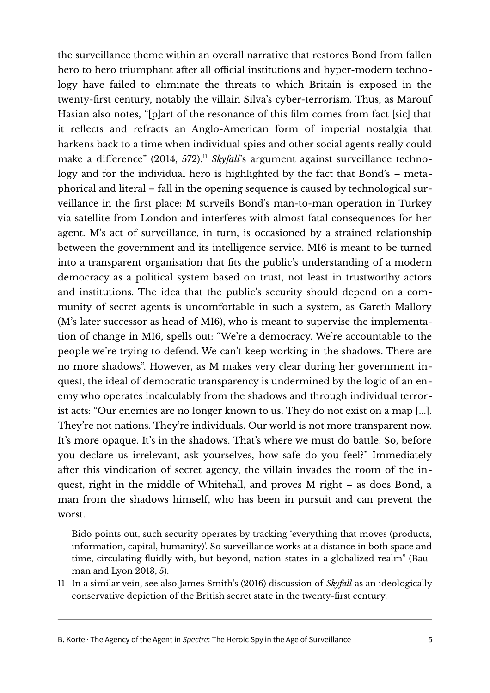the surveillance theme within an overall narrative that restores Bond from fallen hero to hero triumphant after all official institutions and hyper-modern technology have failed to eliminate the threats to which Britain is exposed in the twenty-first century, notably the villain Silva's cyber-terrorism. Thus, as Marouf Hasian also notes, "[p]art of the resonance of this film comes from fact [sic] that it reflects and refracts an Anglo-American form of imperial nostalgia that harkens back to a time when individual spies and other social agents really could make a difference" (2014, 572).<sup>[11](#page-4-0)</sup> *Skyfall*'s argument against surveillance technology and for the individual hero is highlighted by the fact that Bond's – metaphorical and literal – fall in the opening sequence is caused by technological surveillance in the first place: M surveils Bond's man-to-man operation in Turkey via satellite from London and interferes with almost fatal consequences for her agent. M's act of surveillance, in turn, is occasioned by a strained relationship between the government and its intelligence service. MI6 is meant to be turned into a transparent organisation that fits the public's understanding of a modern democracy as a political system based on trust, not least in trustworthy actors and institutions. The idea that the public's security should depend on a community of secret agents is uncomfortable in such a system, as Gareth Mallory (M's later successor as head of MI6), who is meant to supervise the implementation of change in MI6, spells out: "We're a democracy. We're accountable to the people we're trying to defend. We can't keep working in the shadows. There are no more shadows". However, as M makes very clear during her government inquest, the ideal of democratic transparency is undermined by the logic of an enemy who operates incalculably from the shadows and through individual terrorist acts: "Our enemies are no longer known to us. They do not exist on a map [...]. They're not nations. They're individuals. Our world is not more transparent now. It's more opaque. It's in the shadows. That's where we must do battle. So, before you declare us irrelevant, ask yourselves, how safe do you feel?" Immediately after this vindication of secret agency, the villain invades the room of the inquest, right in the middle of Whitehall, and proves M right – as does Bond, a man from the shadows himself, who has been in pursuit and can prevent the worst.

<span id="page-4-0"></span>11 In a similar vein, see also James Smith's (2016) discussion of *Skyfall* as an ideologically conservative depiction of the British secret state in the twenty-first century.

B. Korte · The Agency of the Agent in Spectre: The Heroic Spy in the Age of Surveillance 5

Bido points out, such security operates by tracking 'everything that moves (products, information, capital, humanity)'. So surveillance works at a distance in both space and time, circulating fluidly with, but beyond, nation-states in a globalized realm" (Bauman and Lyon 2013, 5).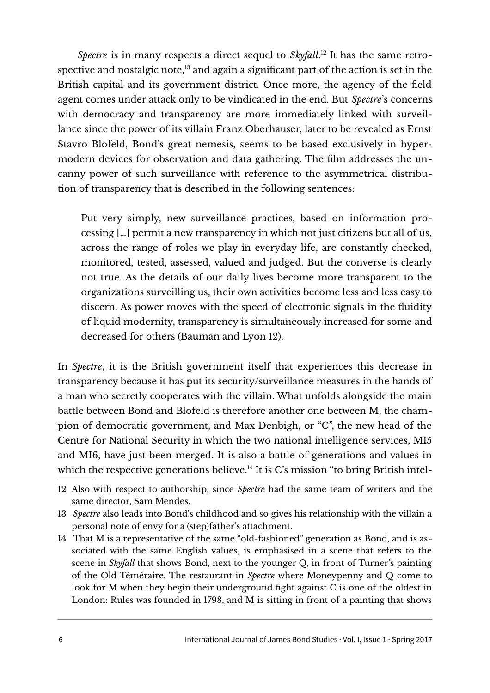*Spectre* is in many respects a direct sequel to *Skyfall*. [12](#page-5-0) It has the same retrospective and nostalgic note, $13$  and again a significant part of the action is set in the British capital and its government district. Once more, the agency of the field agent comes under attack only to be vindicated in the end. But *Spectre*'s concerns with democracy and transparency are more immediately linked with surveillance since the power of its villain Franz Oberhauser, later to be revealed as Ernst Stavro Blofeld, Bond's great nemesis, seems to be based exclusively in hypermodern devices for observation and data gathering. The film addresses the uncanny power of such surveillance with reference to the asymmetrical distribution of transparency that is described in the following sentences:

Put very simply, new surveillance practices, based on information processing […] permit a new transparency in which not just citizens but all of us, across the range of roles we play in everyday life, are constantly checked, monitored, tested, assessed, valued and judged. But the converse is clearly not true. As the details of our daily lives become more transparent to the organizations surveilling us, their own activities become less and less easy to discern. As power moves with the speed of electronic signals in the fluidity of liquid modernity, transparency is simultaneously increased for some and decreased for others (Bauman and Lyon 12).

In *Spectre*, it is the British government itself that experiences this decrease in transparency because it has put its security/surveillance measures in the hands of a man who secretly cooperates with the villain. What unfolds alongside the main battle between Bond and Blofeld is therefore another one between M, the champion of democratic government, and Max Denbigh, or "C", the new head of the Centre for National Security in which the two national intelligence services, MI5 and MI6, have just been merged. It is also a battle of generations and values in which the respective generations believe.<sup>[14](#page-5-2)</sup> It is C's mission "to bring British intel-

<span id="page-5-0"></span><sup>12</sup> Also with respect to authorship, since *Spectre* had the same team of writers and the same director, Sam Mendes.

<span id="page-5-1"></span><sup>13</sup> *Spectre* also leads into Bond's childhood and so gives his relationship with the villain a personal note of envy for a (step)father's attachment.

<span id="page-5-2"></span><sup>14</sup> That M is a representative of the same "old-fashioned" generation as Bond, and is associated with the same English values, is emphasised in a scene that refers to the scene in *Skyfall* that shows Bond, next to the younger Q, in front of Turner's painting of the Old Téméraire. The restaurant in *Spectre* where Moneypenny and Q come to look for M when they begin their underground fight against C is one of the oldest in London: Rules was founded in 1798, and M is sitting in front of a painting that shows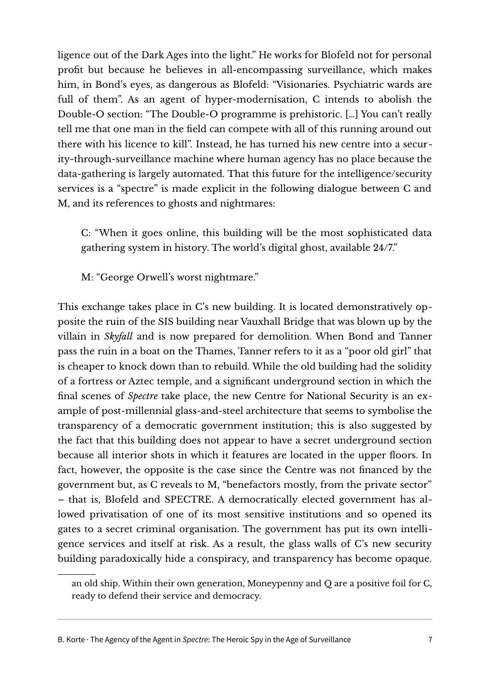ligence out of the Dark Ages into the light." He works for Blofeld not for personal profit but because he believes in all-encompassing surveillance, which makes him, in Bond's eyes, as dangerous as Blofeld: "Visionaries. Psychiatric wards are full of them". As an agent of hyper-modernisation, C intends to abolish the Double-O section: "The Double-O programme is prehistoric. […] You can't really tell me that one man in the field can compete with all of this running around out there with his licence to kill". Instead, he has turned his new centre into a security-through-surveillance machine where human agency has no place because the data-gathering is largely automated. That this future for the intelligence/security services is a "spectre" is made explicit in the following dialogue between C and M, and its references to ghosts and nightmares:

C: "When it goes online, this building will be the most sophisticated data gathering system in history. The world's digital ghost, available 24/7."

M: "George Orwell's worst nightmare."

This exchange takes place in C's new building. It is located demonstratively opposite the ruin of the SIS building near Vauxhall Bridge that was blown up by the villain in *Skyfall* and is now prepared for demolition. When Bond and Tanner pass the ruin in a boat on the Thames, Tanner refers to it as a "poor old girl" that is cheaper to knock down than to rebuild. While the old building had the solidity of a fortress or Aztec temple, and a significant underground section in which the final scenes of *Spectre* take place, the new Centre for National Security is an example of post-millennial glass-and-steel architecture that seems to symbolise the transparency of a democratic government institution; this is also suggested by the fact that this building does not appear to have a secret underground section because all interior shots in which it features are located in the upper floors. In fact, however, the opposite is the case since the Centre was not financed by the government but, as C reveals to M, "benefactors mostly, from the private sector" – that is, Blofeld and SPECTRE. A democratically elected government has allowed privatisation of one of its most sensitive institutions and so opened its gates to a secret criminal organisation. The government has put its own intelligence services and itself at risk. As a result, the glass walls of C's new security building paradoxically hide a conspiracy, and transparency has become opaque.

an old ship. Within their own generation, Moneypenny and Q are a positive foil for C, ready to defend their service and democracy.

B. Korte · The Agency of the Agent in Spectre: The Heroic Spy in the Age of Surveillance 7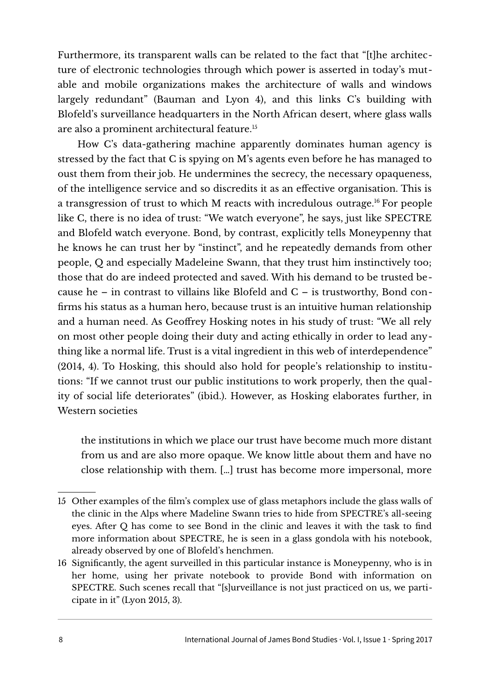Furthermore, its transparent walls can be related to the fact that "[t]he architecture of electronic technologies through which power is asserted in today's mutable and mobile organizations makes the architecture of walls and windows largely redundant" (Bauman and Lyon 4), and this links C's building with Blofeld's surveillance headquarters in the North African desert, where glass walls are also a prominent architectural feature.[15](#page-7-0)

How C's data-gathering machine apparently dominates human agency is stressed by the fact that C is spying on M's agents even before he has managed to oust them from their job. He undermines the secrecy, the necessary opaqueness, of the intelligence service and so discredits it as an effective organisation. This is a transgression of trust to which M reacts with incredulous outrage.[16](#page-7-1) For people like C, there is no idea of trust: "We watch everyone", he says, just like SPECTRE and Blofeld watch everyone. Bond, by contrast, explicitly tells Moneypenny that he knows he can trust her by "instinct", and he repeatedly demands from other people, Q and especially Madeleine Swann, that they trust him instinctively too; those that do are indeed protected and saved. With his demand to be trusted because he – in contrast to villains like Blofeld and C – is trustworthy, Bond confirms his status as a human hero, because trust is an intuitive human relationship and a human need. As Geoffrey Hosking notes in his study of trust: "We all rely on most other people doing their duty and acting ethically in order to lead anything like a normal life. Trust is a vital ingredient in this web of interdependence" (2014, 4). To Hosking, this should also hold for people's relationship to institutions: "If we cannot trust our public institutions to work properly, then the quality of social life deteriorates" (ibid.). However, as Hosking elaborates further, in Western societies

the institutions in which we place our trust have become much more distant from us and are also more opaque. We know little about them and have no close relationship with them. […] trust has become more impersonal, more

<span id="page-7-0"></span><sup>15</sup> Other examples of the film's complex use of glass metaphors include the glass walls of the clinic in the Alps where Madeline Swann tries to hide from SPECTRE's all-seeing eyes. After Q has come to see Bond in the clinic and leaves it with the task to find more information about SPECTRE, he is seen in a glass gondola with his notebook, already observed by one of Blofeld's henchmen.

<span id="page-7-1"></span><sup>16</sup> Significantly, the agent surveilled in this particular instance is Moneypenny, who is in her home, using her private notebook to provide Bond with information on SPECTRE. Such scenes recall that "[s]urveillance is not just practiced on us, we participate in it" (Lyon 2015, 3).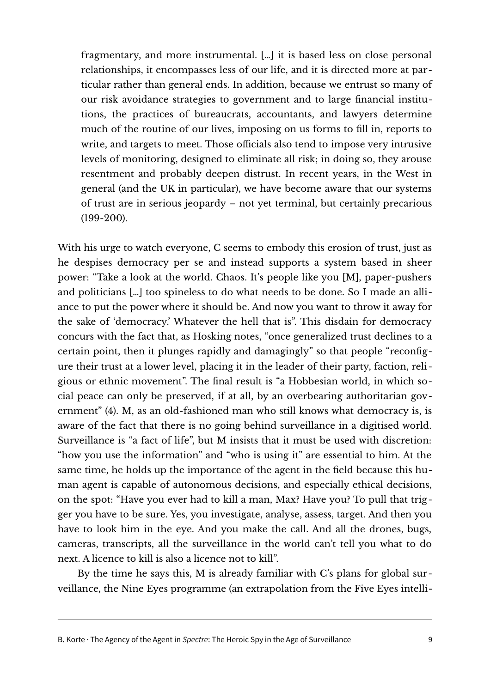fragmentary, and more instrumental. […] it is based less on close personal relationships, it encompasses less of our life, and it is directed more at particular rather than general ends. In addition, because we entrust so many of our risk avoidance strategies to government and to large financial institutions, the practices of bureaucrats, accountants, and lawyers determine much of the routine of our lives, imposing on us forms to fill in, reports to write, and targets to meet. Those officials also tend to impose very intrusive levels of monitoring, designed to eliminate all risk; in doing so, they arouse resentment and probably deepen distrust. In recent years, in the West in general (and the UK in particular), we have become aware that our systems of trust are in serious jeopardy – not yet terminal, but certainly precarious (199-200).

With his urge to watch everyone, C seems to embody this erosion of trust, just as he despises democracy per se and instead supports a system based in sheer power: "Take a look at the world. Chaos. It's people like you [M], paper-pushers and politicians […] too spineless to do what needs to be done. So I made an alliance to put the power where it should be. And now you want to throw it away for the sake of 'democracy.' Whatever the hell that is". This disdain for democracy concurs with the fact that, as Hosking notes, "once generalized trust declines to a certain point, then it plunges rapidly and damagingly" so that people "reconfigure their trust at a lower level, placing it in the leader of their party, faction, reli gious or ethnic movement". The final result is "a Hobbesian world, in which social peace can only be preserved, if at all, by an overbearing authoritarian government" (4). M, as an old-fashioned man who still knows what democracy is, is aware of the fact that there is no going behind surveillance in a digitised world. Surveillance is "a fact of life", but M insists that it must be used with discretion: "how you use the information" and "who is using it" are essential to him. At the same time, he holds up the importance of the agent in the field because this human agent is capable of autonomous decisions, and especially ethical decisions, on the spot: "Have you ever had to kill a man, Max? Have you? To pull that trigger you have to be sure. Yes, you investigate, analyse, assess, target. And then you have to look him in the eye. And you make the call. And all the drones, bugs, cameras, transcripts, all the surveillance in the world can't tell you what to do next. A licence to kill is also a licence not to kill".

By the time he says this, M is already familiar with C's plans for global surveillance, the Nine Eyes programme (an extrapolation from the Five Eyes intelli-

B. Korte  $\cdot$  The Agency of the Agent in Spectre: The Heroic Spy in the Age of Surveillance 9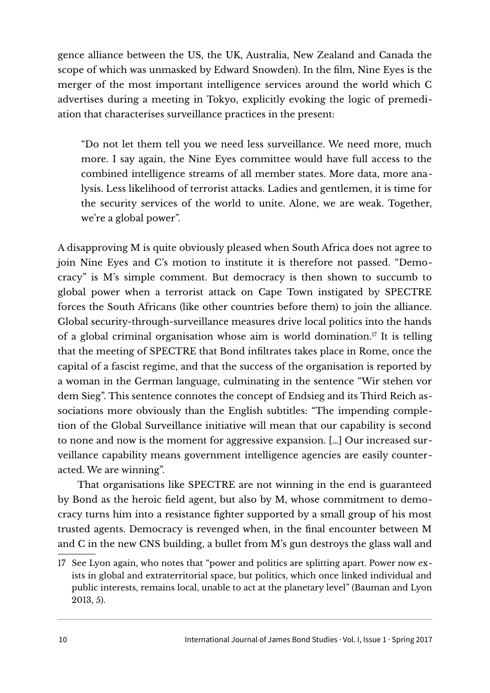gence alliance between the US, the UK, Australia, New Zealand and Canada the scope of which was unmasked by Edward Snowden). In the film, Nine Eyes is the merger of the most important intelligence services around the world which C advertises during a meeting in Tokyo, explicitly evoking the logic of premediation that characterises surveillance practices in the present:

"Do not let them tell you we need less surveillance. We need more, much more. I say again, the Nine Eyes committee would have full access to the combined intelligence streams of all member states. More data, more analysis. Less likelihood of terrorist attacks. Ladies and gentlemen, it is time for the security services of the world to unite. Alone, we are weak. Together, we're a global power".

A disapproving M is quite obviously pleased when South Africa does not agree to join Nine Eyes and C's motion to institute it is therefore not passed. "Democracy" is M's simple comment. But democracy is then shown to succumb to global power when a terrorist attack on Cape Town instigated by SPECTRE forces the South Africans (like other countries before them) to join the alliance. Global security-through-surveillance measures drive local politics into the hands of a global criminal organisation whose aim is world domination.<sup>[17](#page-9-0)</sup> It is telling that the meeting of SPECTRE that Bond infiltrates takes place in Rome, once the capital of a fascist regime, and that the success of the organisation is reported by a woman in the German language, culminating in the sentence "Wir stehen vor dem Sieg". This sentence connotes the concept of Endsieg and its Third Reich associations more obviously than the English subtitles: "The impending completion of the Global Surveillance initiative will mean that our capability is second to none and now is the moment for aggressive expansion. […] Our increased surveillance capability means government intelligence agencies are easily counteracted. We are winning".

That organisations like SPECTRE are not winning in the end is guaranteed by Bond as the heroic field agent, but also by M, whose commitment to democracy turns him into a resistance fighter supported by a small group of his most trusted agents. Democracy is revenged when, in the final encounter between M and C in the new CNS building, a bullet from M's gun destroys the glass wall and

<span id="page-9-0"></span><sup>17</sup> See Lyon again, who notes that "power and politics are splitting apart. Power now exists in global and extraterritorial space, but politics, which once linked individual and public interests, remains local, unable to act at the planetary level" (Bauman and Lyon 2013, 5).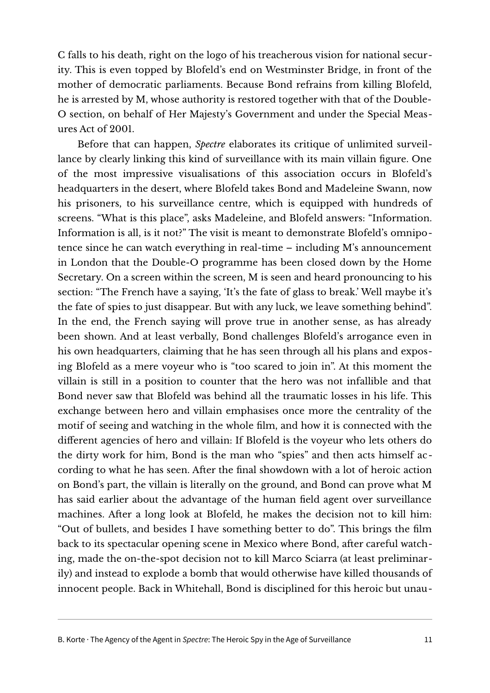C falls to his death, right on the logo of his treacherous vision for national security. This is even topped by Blofeld's end on Westminster Bridge, in front of the mother of democratic parliaments. Because Bond refrains from killing Blofeld, he is arrested by M, whose authority is restored together with that of the Double-O section, on behalf of Her Majesty's Government and under the Special Measures Act of 2001.

Before that can happen, *Spectre* elaborates its critique of unlimited surveillance by clearly linking this kind of surveillance with its main villain figure. One of the most impressive visualisations of this association occurs in Blofeld's headquarters in the desert, where Blofeld takes Bond and Madeleine Swann, now his prisoners, to his surveillance centre, which is equipped with hundreds of screens. "What is this place", asks Madeleine, and Blofeld answers: "Information. Information is all, is it not?" The visit is meant to demonstrate Blofeld's omnipotence since he can watch everything in real-time – including M's announcement in London that the Double-O programme has been closed down by the Home Secretary. On a screen within the screen, M is seen and heard pronouncing to his section: "The French have a saying, 'It's the fate of glass to break.' Well maybe it's the fate of spies to just disappear. But with any luck, we leave something behind". In the end, the French saying will prove true in another sense, as has already been shown. And at least verbally, Bond challenges Blofeld's arrogance even in his own headquarters, claiming that he has seen through all his plans and exposing Blofeld as a mere voyeur who is "too scared to join in". At this moment the villain is still in a position to counter that the hero was not infallible and that Bond never saw that Blofeld was behind all the traumatic losses in his life. This exchange between hero and villain emphasises once more the centrality of the motif of seeing and watching in the whole film, and how it is connected with the different agencies of hero and villain: If Blofeld is the voyeur who lets others do the dirty work for him, Bond is the man who "spies" and then acts himself according to what he has seen. After the final showdown with a lot of heroic action on Bond's part, the villain is literally on the ground, and Bond can prove what M has said earlier about the advantage of the human field agent over surveillance machines. After a long look at Blofeld, he makes the decision not to kill him: "Out of bullets, and besides I have something better to do". This brings the film back to its spectacular opening scene in Mexico where Bond, after careful watching, made the on-the-spot decision not to kill Marco Sciarra (at least preliminarily) and instead to explode a bomb that would otherwise have killed thousands of innocent people. Back in Whitehall, Bond is disciplined for this heroic but unau-

B. Korte · The Agency of the Agent in Spectre: The Heroic Spy in the Age of Surveillance 11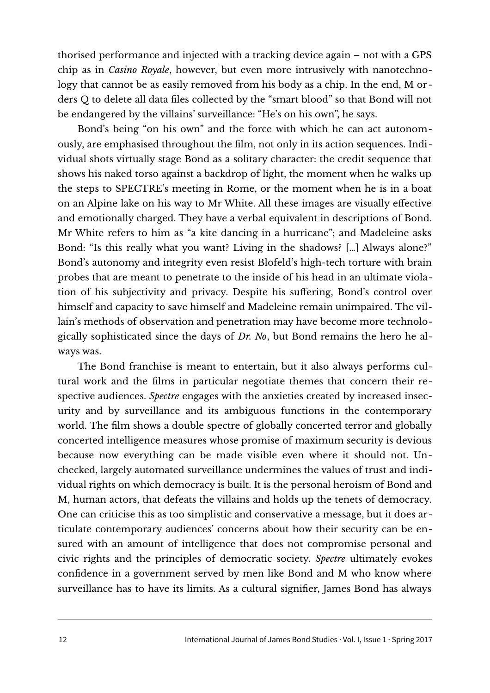thorised performance and injected with a tracking device again – not with a GPS chip as in *Casino Royale*, however, but even more intrusively with nanotechnology that cannot be as easily removed from his body as a chip. In the end, M orders Q to delete all data files collected by the "smart blood" so that Bond will not be endangered by the villains' surveillance: "He's on his own", he says.

Bond's being "on his own" and the force with which he can act autonomously, are emphasised throughout the film, not only in its action sequences. Individual shots virtually stage Bond as a solitary character: the credit sequence that shows his naked torso against a backdrop of light, the moment when he walks up the steps to SPECTRE's meeting in Rome, or the moment when he is in a boat on an Alpine lake on his way to Mr White. All these images are visually effective and emotionally charged. They have a verbal equivalent in descriptions of Bond. Mr White refers to him as "a kite dancing in a hurricane"; and Madeleine asks Bond: "Is this really what you want? Living in the shadows? […] Always alone?" Bond's autonomy and integrity even resist Blofeld's high-tech torture with brain probes that are meant to penetrate to the inside of his head in an ultimate violation of his subjectivity and privacy. Despite his suffering, Bond's control over himself and capacity to save himself and Madeleine remain unimpaired. The villain's methods of observation and penetration may have become more technologically sophisticated since the days of *Dr. No*, but Bond remains the hero he always was.

The Bond franchise is meant to entertain, but it also always performs cultural work and the films in particular negotiate themes that concern their respective audiences. *Spectre* engages with the anxieties created by increased insecurity and by surveillance and its ambiguous functions in the contemporary world. The film shows a double spectre of globally concerted terror and globally concerted intelligence measures whose promise of maximum security is devious because now everything can be made visible even where it should not. Unchecked, largely automated surveillance undermines the values of trust and individual rights on which democracy is built. It is the personal heroism of Bond and M, human actors, that defeats the villains and holds up the tenets of democracy. One can criticise this as too simplistic and conservative a message, but it does articulate contemporary audiences' concerns about how their security can be ensured with an amount of intelligence that does not compromise personal and civic rights and the principles of democratic society. *Spectre* ultimately evokes confidence in a government served by men like Bond and M who know where surveillance has to have its limits. As a cultural signifier, James Bond has always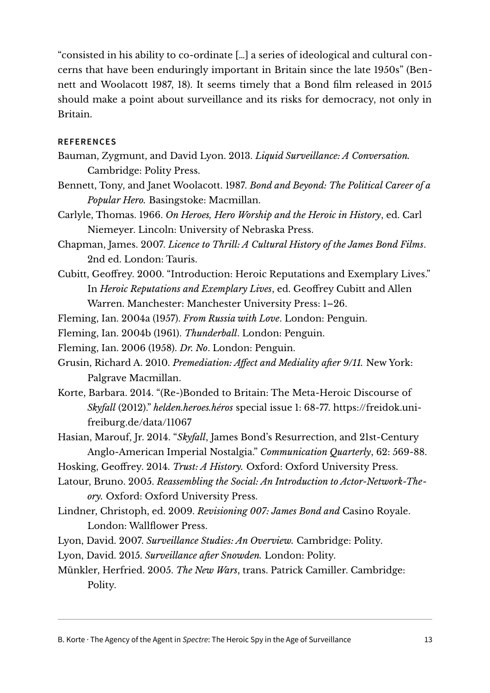"consisted in his ability to co-ordinate […] a series of ideological and cultural concerns that have been enduringly important in Britain since the late 1950s" (Bennett and Woolacott 1987, 18). It seems timely that a Bond film released in 2015 should make a point about surveillance and its risks for democracy, not only in Britain.

## **REFERENCES**

- Bauman, Zygmunt, and David Lyon. 2013. *Liquid Surveillance: A Conversation.* Cambridge: Polity Press.
- Bennett, Tony, and Janet Woolacott. 1987. *Bond and Beyond: The Political Career of a Popular Hero.* Basingstoke: Macmillan.
- Carlyle, Thomas. 1966. *On Heroes, Hero Worship and the Heroic in History*, ed. Carl Niemeyer. Lincoln: University of Nebraska Press.
- Chapman, James. 2007. *Licence to Thrill: A Cultural History of the James Bond Films*. 2nd ed. London: Tauris.
- Cubitt, Geoffrey. 2000. "Introduction: Heroic Reputations and Exemplary Lives." In *Heroic Reputations and Exemplary Lives*, ed. Geoffrey Cubitt and Allen Warren. Manchester: Manchester University Press: 1–26.
- Fleming, Ian. 2004a (1957). *From Russia with Love*. London: Penguin.

Fleming, Ian. 2004b (1961). *Thunderball*. London: Penguin.

Fleming, Ian. 2006 (1958). *Dr. No*. London: Penguin.

- Grusin, Richard A. 2010. *Premediation: Affect and Mediality after 9/11.* New York: Palgrave Macmillan.
- Korte, Barbara. 2014. "(Re-)Bonded to Britain: The Meta-Heroic Discourse of *Skyfall* (2012)." *helden.heroes.héros* special issue 1: 68-77. [https://freidok.uni](https://freidok.uni-freiburg.de/data/11067)[freiburg.de/data/11067](https://freidok.uni-freiburg.de/data/11067)
- Hasian, Marouf, Jr. 2014. "*Skyfall*, James Bond's Resurrection, and 21st-Century Anglo-American Imperial Nostalgia." *Communication Quarterly*, 62: 569-88.
- Hosking, Geoffrey. 2014. *Trust: A History.* Oxford: Oxford University Press.
- Latour, Bruno. 2005. *Reassembling the Social: An Introduction to Actor-Network-Theory.* Oxford: Oxford University Press.
- Lindner, Christoph, ed. 2009. *Revisioning 007: James Bond and* Casino Royale. London: Wallflower Press.
- Lyon, David. 2007. *Surveillance Studies: An Overview.* Cambridge: Polity.
- Lyon, David. 2015. *Surveillance after Snowden.* London: Polity.
- Münkler, Herfried. 2005. *The New Wars*, trans. Patrick Camiller. Cambridge: Polity.